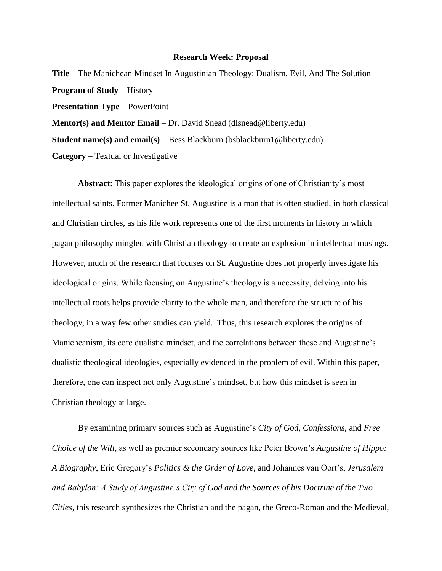## **Research Week: Proposal**

**Title** – The Manichean Mindset In Augustinian Theology: Dualism, Evil, And The Solution **Program of Study** – History **Presentation Type** – PowerPoint **Mentor(s) and Mentor Email** – Dr. David Snead (dlsnead@liberty.edu) **Student name(s) and email(s)** – Bess Blackburn (bsblackburn1@liberty.edu) **Category** – Textual or Investigative

**Abstract**: This paper explores the ideological origins of one of Christianity's most intellectual saints. Former Manichee St. Augustine is a man that is often studied, in both classical and Christian circles, as his life work represents one of the first moments in history in which pagan philosophy mingled with Christian theology to create an explosion in intellectual musings. However, much of the research that focuses on St. Augustine does not properly investigate his ideological origins. While focusing on Augustine's theology is a necessity, delving into his intellectual roots helps provide clarity to the whole man, and therefore the structure of his theology, in a way few other studies can yield. Thus, this research explores the origins of Manicheanism, its core dualistic mindset, and the correlations between these and Augustine's dualistic theological ideologies, especially evidenced in the problem of evil. Within this paper, therefore, one can inspect not only Augustine's mindset, but how this mindset is seen in Christian theology at large.

By examining primary sources such as Augustine's *City of God*, *Confessions*, and *Free Choice of the Will*, as well as premier secondary sources like Peter Brown's *Augustine of Hippo: A Biography*, Eric Gregory's *Politics & the Order of Love*, and Johannes van Oort's, *Jerusalem and Babylon: A Study of Augustine's City of God and the Sources of his Doctrine of the Two Cities*, this research synthesizes the Christian and the pagan, the Greco-Roman and the Medieval,